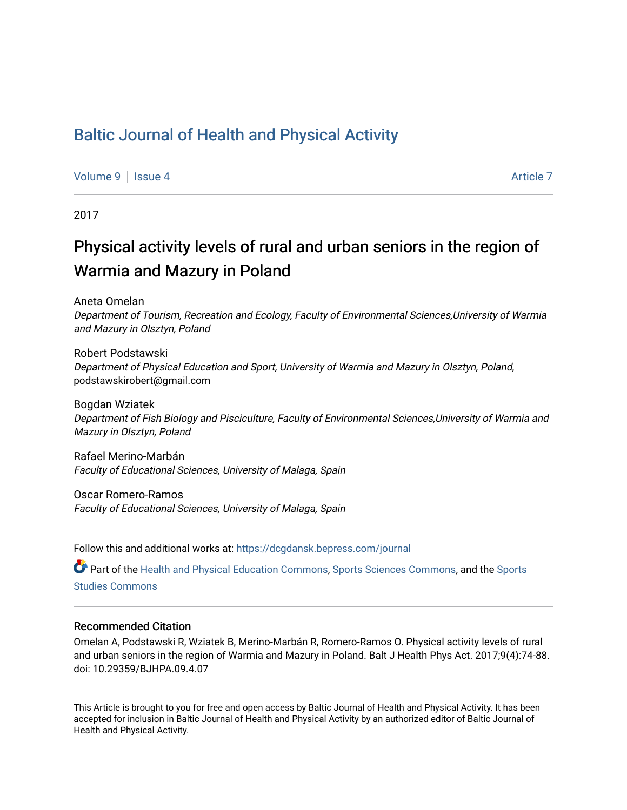## [Baltic Journal of Health and Physical Activity](https://dcgdansk.bepress.com/journal)

[Volume 9](https://dcgdansk.bepress.com/journal/vol9) | [Issue 4](https://dcgdansk.bepress.com/journal/vol9/iss4) Article 7

2017

# Physical activity levels of rural and urban seniors in the region of Warmia and Mazury in Poland

Aneta Omelan

Department of Tourism, Recreation and Ecology, Faculty of Environmental Sciences,University of Warmia and Mazury in Olsztyn, Poland

Robert Podstawski Department of Physical Education and Sport, University of Warmia and Mazury in Olsztyn, Poland, podstawskirobert@gmail.com

Bogdan Wziatek Department of Fish Biology and Pisciculture, Faculty of Environmental Sciences,University of Warmia and Mazury in Olsztyn, Poland

Rafael Merino-Marbán Faculty of Educational Sciences, University of Malaga, Spain

Oscar Romero-Ramos Faculty of Educational Sciences, University of Malaga, Spain

Follow this and additional works at: [https://dcgdansk.bepress.com/journal](https://dcgdansk.bepress.com/journal?utm_source=dcgdansk.bepress.com%2Fjournal%2Fvol9%2Fiss4%2F7&utm_medium=PDF&utm_campaign=PDFCoverPages)

Part of the [Health and Physical Education Commons](http://network.bepress.com/hgg/discipline/1327?utm_source=dcgdansk.bepress.com%2Fjournal%2Fvol9%2Fiss4%2F7&utm_medium=PDF&utm_campaign=PDFCoverPages), [Sports Sciences Commons](http://network.bepress.com/hgg/discipline/759?utm_source=dcgdansk.bepress.com%2Fjournal%2Fvol9%2Fiss4%2F7&utm_medium=PDF&utm_campaign=PDFCoverPages), and the Sports [Studies Commons](http://network.bepress.com/hgg/discipline/1198?utm_source=dcgdansk.bepress.com%2Fjournal%2Fvol9%2Fiss4%2F7&utm_medium=PDF&utm_campaign=PDFCoverPages) 

#### Recommended Citation

Omelan A, Podstawski R, Wziatek B, Merino-Marbán R, Romero-Ramos O. Physical activity levels of rural and urban seniors in the region of Warmia and Mazury in Poland. Balt J Health Phys Act. 2017;9(4):74-88. doi: 10.29359/BJHPA.09.4.07

This Article is brought to you for free and open access by Baltic Journal of Health and Physical Activity. It has been accepted for inclusion in Baltic Journal of Health and Physical Activity by an authorized editor of Baltic Journal of Health and Physical Activity.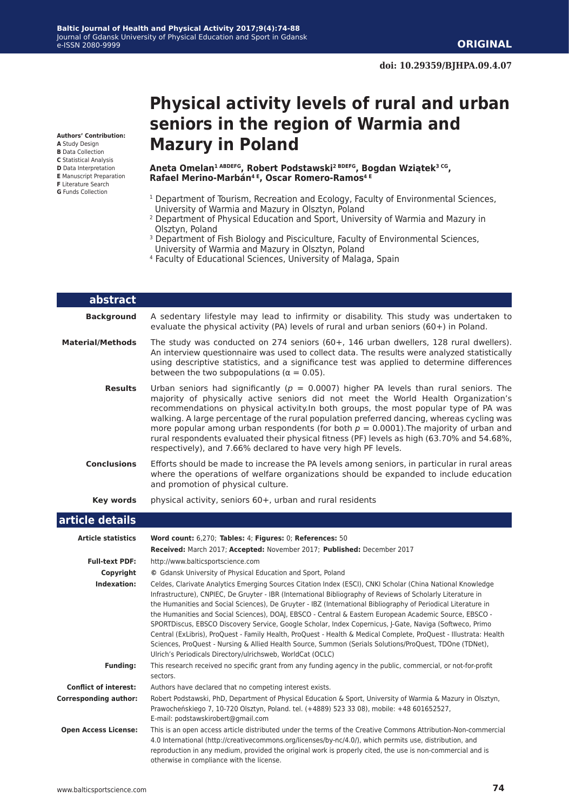**Authors' Contribution:**

- **A** Study Design **B** Data Collection
- **C** Statistical Analysis
- **D** Data Interpretation
- **E** Manuscript Preparation
- **F** Literature Search
- **G** Funds Collection

## **Physical activity levels of rural and urban seniors in the region of Warmia and Mazury in Poland**

**Aneta Omelan1 ABDEFG, Robert Podstawski2 BDEFG, Bogdan Wziątek3 CG, Rafael Merino-Marbán4 E, Oscar Romero-Ramos4 E**

- <sup>1</sup> Department of Tourism, Recreation and Ecology, Faculty of Environmental Sciences, University of Warmia and Mazury in Olsztyn, Poland
- 2 Department of Physical Education and Sport, University of Warmia and Mazury in Olsztyn, Poland
- <sup>3</sup> Department of Fish Biology and Pisciculture, Faculty of Environmental Sciences, University of Warmia and Mazury in Olsztyn, Poland
- 4 Faculty of Educational Sciences, University of Malaga, Spain

| abstract           |                                                                                                                                                                                                                                                                                                                                                                                                                                                                                                                                                                                                                                    |
|--------------------|------------------------------------------------------------------------------------------------------------------------------------------------------------------------------------------------------------------------------------------------------------------------------------------------------------------------------------------------------------------------------------------------------------------------------------------------------------------------------------------------------------------------------------------------------------------------------------------------------------------------------------|
| <b>Background</b>  | A sedentary lifestyle may lead to infirmity or disability. This study was undertaken to<br>evaluate the physical activity (PA) levels of rural and urban seniors $(60+)$ in Poland.                                                                                                                                                                                                                                                                                                                                                                                                                                                |
| Material/Methods   | The study was conducted on 274 seniors (60+, 146 urban dwellers, 128 rural dwellers).<br>An interview questionnaire was used to collect data. The results were analyzed statistically<br>using descriptive statistics, and a significance test was applied to determine differences<br>between the two subpopulations ( $\alpha = 0.05$ ).                                                                                                                                                                                                                                                                                         |
| <b>Results</b>     | Urban seniors had significantly ( $p = 0.0007$ ) higher PA levels than rural seniors. The<br>majority of physically active seniors did not meet the World Health Organization's<br>recommendations on physical activity. In both groups, the most popular type of PA was<br>walking. A large percentage of the rural population preferred dancing, whereas cycling was<br>more popular among urban respondents (for both $p = 0.0001$ ). The majority of urban and<br>rural respondents evaluated their physical fitness (PF) levels as high (63.70% and 54.68%,<br>respectively), and 7.66% declared to have very high PF levels. |
| <b>Conclusions</b> | Efforts should be made to increase the PA levels among seniors, in particular in rural areas<br>where the operations of welfare organizations should be expanded to include education<br>and promotion of physical culture.                                                                                                                                                                                                                                                                                                                                                                                                        |
| Key words          | physical activity, seniors 60+, urban and rural residents                                                                                                                                                                                                                                                                                                                                                                                                                                                                                                                                                                          |

#### **article details**

| <b>Article statistics</b>    | Word count: 6,270; Tables: 4; Figures: 0; References: 50                                                                                                                                                                                                                                                                                                                                                                                                                                                                                                                                                                                                                                                                                                                                                                                                      |
|------------------------------|---------------------------------------------------------------------------------------------------------------------------------------------------------------------------------------------------------------------------------------------------------------------------------------------------------------------------------------------------------------------------------------------------------------------------------------------------------------------------------------------------------------------------------------------------------------------------------------------------------------------------------------------------------------------------------------------------------------------------------------------------------------------------------------------------------------------------------------------------------------|
|                              | Received: March 2017; Accepted: November 2017; Published: December 2017                                                                                                                                                                                                                                                                                                                                                                                                                                                                                                                                                                                                                                                                                                                                                                                       |
| <b>Full-text PDF:</b>        | http://www.balticsportscience.com                                                                                                                                                                                                                                                                                                                                                                                                                                                                                                                                                                                                                                                                                                                                                                                                                             |
| Copyright                    | © Gdansk University of Physical Education and Sport, Poland                                                                                                                                                                                                                                                                                                                                                                                                                                                                                                                                                                                                                                                                                                                                                                                                   |
| Indexation:                  | Celdes, Clarivate Analytics Emerging Sources Citation Index (ESCI), CNKI Scholar (China National Knowledge<br>Infrastructure), CNPIEC, De Gruyter - IBR (International Bibliography of Reviews of Scholarly Literature in<br>the Humanities and Social Sciences), De Gruyter - IBZ (International Bibliography of Periodical Literature in<br>the Humanities and Social Sciences), DOAJ, EBSCO - Central & Eastern European Academic Source, EBSCO -<br>SPORTDiscus, EBSCO Discovery Service, Google Scholar, Index Copernicus, J-Gate, Naviga (Softweco, Primo<br>Central (ExLibris), ProQuest - Family Health, ProQuest - Health & Medical Complete, ProQuest - Illustrata: Health<br>Sciences, ProQuest - Nursing & Allied Health Source, Summon (Serials Solutions/ProQuest, TDOne (TDNet),<br>Ulrich's Periodicals Directory/ulrichsweb, WorldCat (OCLC) |
| <b>Funding:</b>              | This research received no specific grant from any funding agency in the public, commercial, or not-for-profit<br>sectors.                                                                                                                                                                                                                                                                                                                                                                                                                                                                                                                                                                                                                                                                                                                                     |
| <b>Conflict of interest:</b> | Authors have declared that no competing interest exists.                                                                                                                                                                                                                                                                                                                                                                                                                                                                                                                                                                                                                                                                                                                                                                                                      |
| <b>Corresponding author:</b> | Robert Podstawski, PhD, Department of Physical Education & Sport, University of Warmia & Mazury in Olsztyn,<br>Prawocheńskiego 7, 10-720 Olsztyn, Poland. tel. (+4889) 523 33 08), mobile: +48 601652527,<br>E-mail: podstawskirobert@gmail.com                                                                                                                                                                                                                                                                                                                                                                                                                                                                                                                                                                                                               |
| <b>Open Access License:</b>  | This is an open access article distributed under the terms of the Creative Commons Attribution-Non-commercial<br>4.0 International (http://creativecommons.org/licenses/by-nc/4.0/), which permits use, distribution, and<br>reproduction in any medium, provided the original work is properly cited, the use is non-commercial and is<br>otherwise in compliance with the license.                                                                                                                                                                                                                                                                                                                                                                                                                                                                          |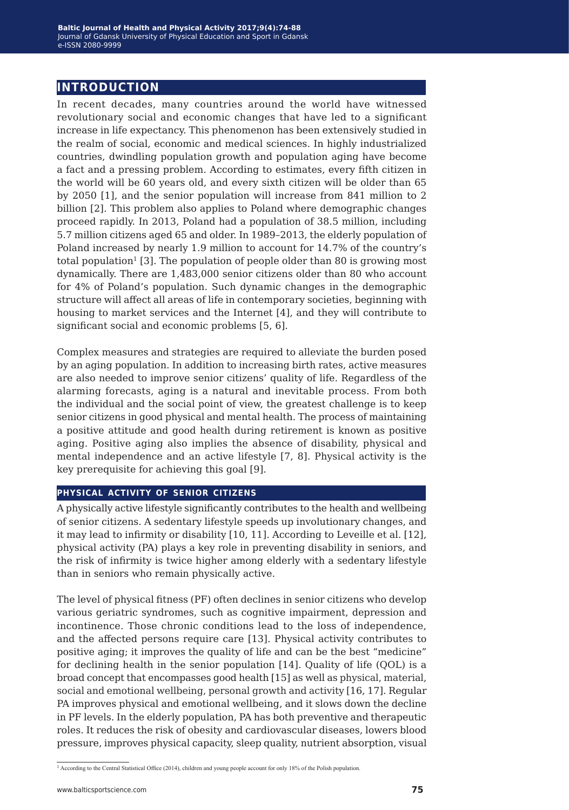## **introduction**

In recent decades, many countries around the world have witnessed revolutionary social and economic changes that have led to a significant increase in life expectancy. This phenomenon has been extensively studied in the realm of social, economic and medical sciences. In highly industrialized countries, dwindling population growth and population aging have become a fact and a pressing problem. According to estimates, every fifth citizen in the world will be 60 years old, and every sixth citizen will be older than 65 by 2050 [1], and the senior population will increase from 841 million to 2 billion [2]. This problem also applies to Poland where demographic changes proceed rapidly. In 2013, Poland had a population of 38.5 million, including 5.7 million citizens aged 65 and older. In 1989–2013, the elderly population of Poland increased by nearly 1.9 million to account for 14.7% of the country's total population<sup>1</sup> [3]. The population of people older than 80 is growing most dynamically. There are 1,483,000 senior citizens older than 80 who account for 4% of Poland's population. Such dynamic changes in the demographic structure will affect all areas of life in contemporary societies, beginning with housing to market services and the Internet [4], and they will contribute to significant social and economic problems [5, 6].

Complex measures and strategies are required to alleviate the burden posed by an aging population. In addition to increasing birth rates, active measures are also needed to improve senior citizens' quality of life. Regardless of the alarming forecasts, aging is a natural and inevitable process. From both the individual and the social point of view, the greatest challenge is to keep senior citizens in good physical and mental health. The process of maintaining a positive attitude and good health during retirement is known as positive aging. Positive aging also implies the absence of disability, physical and mental independence and an active lifestyle [7, 8]. Physical activity is the key prerequisite for achieving this goal [9].

#### **physical activity of senior citizens**

A physically active lifestyle significantly contributes to the health and wellbeing of senior citizens. A sedentary lifestyle speeds up involutionary changes, and it may lead to infirmity or disability [10, 11]. According to Leveille et al. [12], physical activity (PA) plays a key role in preventing disability in seniors, and the risk of infirmity is twice higher among elderly with a sedentary lifestyle than in seniors who remain physically active.

The level of physical fitness (PF) often declines in senior citizens who develop various geriatric syndromes, such as cognitive impairment, depression and incontinence. Those chronic conditions lead to the loss of independence, and the affected persons require care [13]. Physical activity contributes to positive aging; it improves the quality of life and can be the best "medicine" for declining health in the senior population [14]. Quality of life (QOL) is a broad concept that encompasses good health [15] as well as physical, material, social and emotional wellbeing, personal growth and activity [16, 17]. Regular PA improves physical and emotional wellbeing, and it slows down the decline in PF levels. In the elderly population, PA has both preventive and therapeutic roles. It reduces the risk of obesity and cardiovascular diseases, lowers blood pressure, improves physical capacity, sleep quality, nutrient absorption, visual

<sup>1</sup> According to the Central Statistical Office (2014), children and young people account for only 18% of the Polish population.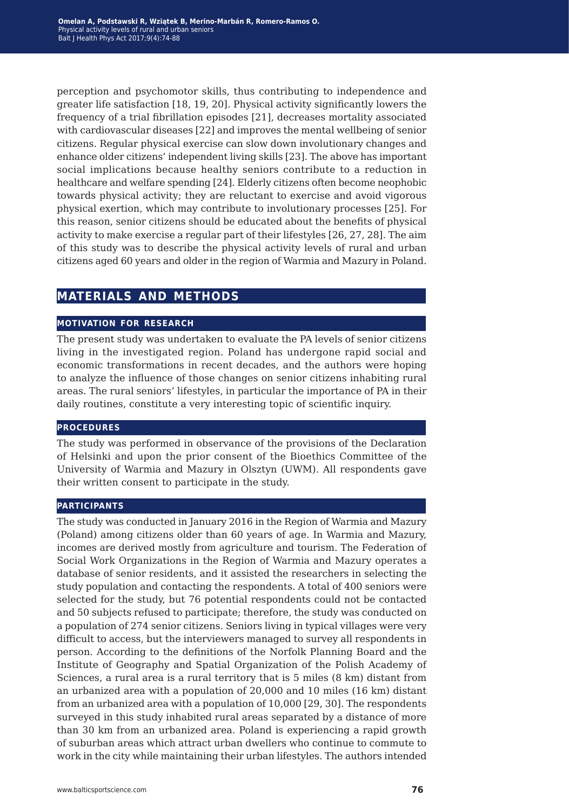perception and psychomotor skills, thus contributing to independence and greater life satisfaction [18, 19, 20]. Physical activity significantly lowers the frequency of a trial fibrillation episodes [21], decreases mortality associated with cardiovascular diseases [22] and improves the mental wellbeing of senior citizens. Regular physical exercise can slow down involutionary changes and enhance older citizens' independent living skills [23]. The above has important social implications because healthy seniors contribute to a reduction in healthcare and welfare spending [24]. Elderly citizens often become neophobic towards physical activity; they are reluctant to exercise and avoid vigorous physical exertion, which may contribute to involutionary processes [25]. For this reason, senior citizens should be educated about the benefits of physical activity to make exercise a regular part of their lifestyles [26, 27, 28]. The aim of this study was to describe the physical activity levels of rural and urban citizens aged 60 years and older in the region of Warmia and Mazury in Poland.

## **materials and methods**

#### **motivation for research**

The present study was undertaken to evaluate the PA levels of senior citizens living in the investigated region. Poland has undergone rapid social and economic transformations in recent decades, and the authors were hoping to analyze the influence of those changes on senior citizens inhabiting rural areas. The rural seniors' lifestyles, in particular the importance of PA in their daily routines, constitute a very interesting topic of scientific inquiry.

#### **procedures**

The study was performed in observance of the provisions of the Declaration of Helsinki and upon the prior consent of the Bioethics Committee of the University of Warmia and Mazury in Olsztyn (UWM). All respondents gave their written consent to participate in the study.

#### **participants**

The study was conducted in January 2016 in the Region of Warmia and Mazury (Poland) among citizens older than 60 years of age. In Warmia and Mazury, incomes are derived mostly from agriculture and tourism. The Federation of Social Work Organizations in the Region of Warmia and Mazury operates a database of senior residents, and it assisted the researchers in selecting the study population and contacting the respondents. A total of 400 seniors were selected for the study, but 76 potential respondents could not be contacted and 50 subjects refused to participate; therefore, the study was conducted on a population of 274 senior citizens. Seniors living in typical villages were very difficult to access, but the interviewers managed to survey all respondents in person. According to the definitions of the Norfolk Planning Board and the Institute of Geography and Spatial Organization of the Polish Academy of Sciences, a rural area is a rural territory that is 5 miles (8 km) distant from an urbanized area with a population of 20,000 and 10 miles (16 km) distant from an urbanized area with a population of 10,000 [29, 30]. The respondents surveyed in this study inhabited rural areas separated by a distance of more than 30 km from an urbanized area. Poland is experiencing a rapid growth of suburban areas which attract urban dwellers who continue to commute to work in the city while maintaining their urban lifestyles. The authors intended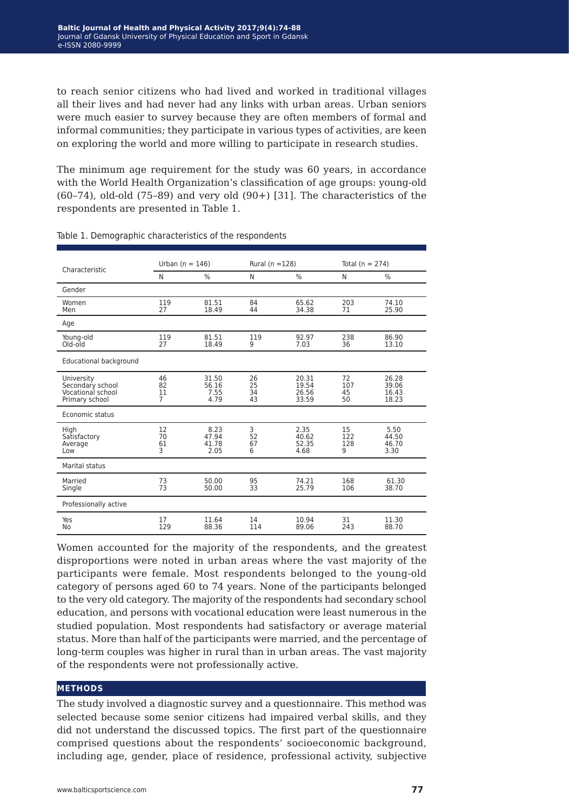to reach senior citizens who had lived and worked in traditional villages all their lives and had never had any links with urban areas. Urban seniors were much easier to survey because they are often members of formal and informal communities; they participate in various types of activities, are keen on exploring the world and more willing to participate in research studies.

The minimum age requirement for the study was 60 years, in accordance with the World Health Organization's classification of age groups: young-old  $(60-74)$ , old-old  $(75-89)$  and very old  $(90+)$  [31]. The characteristics of the respondents are presented in Table 1.

| Characteristic                                                        | Urban ( $n = 146$ )              |                                | Rural ( $n = 128$ )  |                                  | Total ( $n = 274$ )   |                                  |  |
|-----------------------------------------------------------------------|----------------------------------|--------------------------------|----------------------|----------------------------------|-----------------------|----------------------------------|--|
|                                                                       | N                                | $\frac{0}{0}$                  | N                    | $\frac{0}{0}$                    | N                     | $\frac{0}{0}$                    |  |
| Gender                                                                |                                  |                                |                      |                                  |                       |                                  |  |
| Women<br>Men                                                          | 119<br>27                        | 81.51<br>18.49                 | 84<br>44             | 65.62<br>34.38                   | 203<br>71             | 74.10<br>25.90                   |  |
| Age                                                                   |                                  |                                |                      |                                  |                       |                                  |  |
| Young-old<br>Old-old                                                  | 119<br>27                        | 81.51<br>18.49                 | 119<br>9             | 92.97<br>7.03                    | 238<br>36             | 86.90<br>13.10                   |  |
| Educational background                                                |                                  |                                |                      |                                  |                       |                                  |  |
| University<br>Secondary school<br>Vocational school<br>Primary school | 46<br>82<br>11<br>$\overline{7}$ | 31.50<br>56.16<br>7.55<br>4.79 | 26<br>25<br>34<br>43 | 20.31<br>19.54<br>26.56<br>33.59 | 72<br>107<br>45<br>50 | 26.28<br>39.06<br>16.43<br>18.23 |  |
| Economic status                                                       |                                  |                                |                      |                                  |                       |                                  |  |
| Hiah<br>Satisfactory<br>Average<br>Low                                | 12<br>70<br>61<br>3              | 8.23<br>47.94<br>41.78<br>2.05 | 3<br>52<br>67<br>6   | 2.35<br>40.62<br>52.35<br>4.68   | 15<br>122<br>128<br>9 | 5.50<br>44.50<br>46.70<br>3.30   |  |
| Marital status                                                        |                                  |                                |                      |                                  |                       |                                  |  |
| Married<br>Single                                                     | 73<br>73                         | 50.00<br>50.00                 | 95<br>33             | 74.21<br>25.79                   | 168<br>106            | 61.30<br>38.70                   |  |
| Professionally active                                                 |                                  |                                |                      |                                  |                       |                                  |  |
| Yes<br>No                                                             | 17<br>129                        | 11.64<br>88.36                 | 14<br>114            | 10.94<br>89.06                   | 31<br>243             | 11.30<br>88.70                   |  |

Table 1. Demographic characteristics of the respondents

Women accounted for the majority of the respondents, and the greatest disproportions were noted in urban areas where the vast majority of the participants were female. Most respondents belonged to the young-old category of persons aged 60 to 74 years. None of the participants belonged to the very old category. The majority of the respondents had secondary school education, and persons with vocational education were least numerous in the studied population. Most respondents had satisfactory or average material status. More than half of the participants were married, and the percentage of long-term couples was higher in rural than in urban areas. The vast majority of the respondents were not professionally active.

#### **methods**

The study involved a diagnostic survey and a questionnaire. This method was selected because some senior citizens had impaired verbal skills, and they did not understand the discussed topics. The first part of the questionnaire comprised questions about the respondents' socioeconomic background, including age, gender, place of residence, professional activity, subjective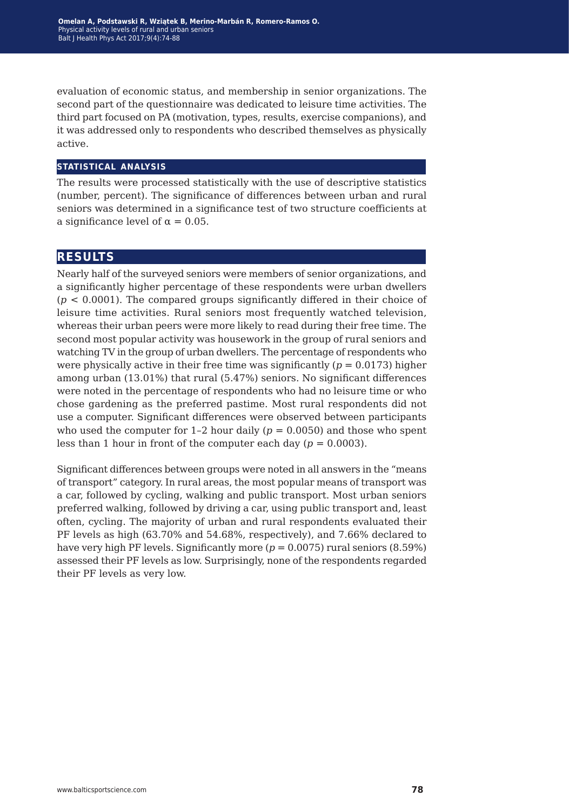evaluation of economic status, and membership in senior organizations. The second part of the questionnaire was dedicated to leisure time activities. The third part focused on PA (motivation, types, results, exercise companions), and it was addressed only to respondents who described themselves as physically active.

#### **statistical analysis**

The results were processed statistically with the use of descriptive statistics (number, percent). The significance of differences between urban and rural seniors was determined in a significance test of two structure coefficients at a significance level of  $\alpha = 0.05$ .

### **results**

Nearly half of the surveyed seniors were members of senior organizations, and a significantly higher percentage of these respondents were urban dwellers (*p* < 0.0001). The compared groups significantly differed in their choice of leisure time activities. Rural seniors most frequently watched television, whereas their urban peers were more likely to read during their free time. The second most popular activity was housework in the group of rural seniors and watching TV in the group of urban dwellers. The percentage of respondents who were physically active in their free time was significantly  $(p = 0.0173)$  higher among urban (13.01%) that rural (5.47%) seniors. No significant differences were noted in the percentage of respondents who had no leisure time or who chose gardening as the preferred pastime. Most rural respondents did not use a computer. Significant differences were observed between participants who used the computer for 1-2 hour daily  $(p = 0.0050)$  and those who spent less than 1 hour in front of the computer each day  $(p = 0.0003)$ .

Significant differences between groups were noted in all answers in the "means of transport" category. In rural areas, the most popular means of transport was a car, followed by cycling, walking and public transport. Most urban seniors preferred walking, followed by driving a car, using public transport and, least often, cycling. The majority of urban and rural respondents evaluated their PF levels as high (63.70% and 54.68%, respectively), and 7.66% declared to have very high PF levels. Significantly more (*p* = 0.0075) rural seniors (8.59%) assessed their PF levels as low. Surprisingly, none of the respondents regarded their PF levels as very low.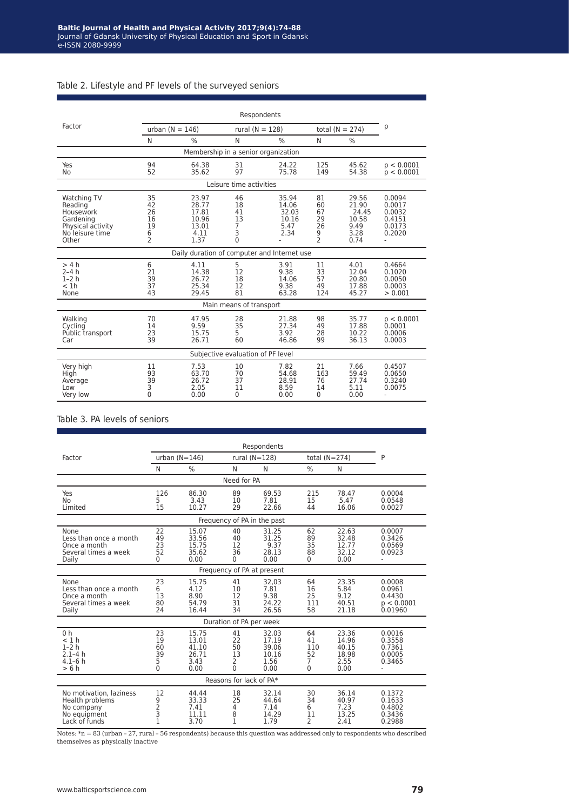| Table 2. Lifestyle and PF levels of the surveyed seniors |  |  |  |
|----------------------------------------------------------|--|--|--|
|----------------------------------------------------------|--|--|--|

|                                                                                                   | Respondents                                                 |                                                           |                                     |                                                  |                                                             |                                                          |                                                                |  |  |
|---------------------------------------------------------------------------------------------------|-------------------------------------------------------------|-----------------------------------------------------------|-------------------------------------|--------------------------------------------------|-------------------------------------------------------------|----------------------------------------------------------|----------------------------------------------------------------|--|--|
| Factor                                                                                            | urban $(N = 146)$                                           |                                                           |                                     | rural ( $N = 128$ )                              |                                                             | total ( $N = 274$ )                                      | р                                                              |  |  |
|                                                                                                   | N                                                           | $\frac{0}{0}$                                             | N                                   | %                                                | N                                                           | $\%$                                                     |                                                                |  |  |
|                                                                                                   | Membership in a senior organization                         |                                                           |                                     |                                                  |                                                             |                                                          |                                                                |  |  |
| Yes<br>No                                                                                         | 94<br>52                                                    | 64.38<br>35.62                                            | 31<br>97                            | 24.22<br>75.78                                   | 125<br>149                                                  | 45.62<br>54.38                                           | p < 0.0001<br>p < 0.0001                                       |  |  |
|                                                                                                   |                                                             |                                                           | Leisure time activities             |                                                  |                                                             |                                                          |                                                                |  |  |
| Watching TV<br>Reading<br>Housework<br>Gardening<br>Physical activity<br>No leisure time<br>Other | 35<br>42<br>26<br>16<br>19<br>6<br>$\overline{\phantom{a}}$ | 23.97<br>28.77<br>17.81<br>10.96<br>13.01<br>4.11<br>1.37 | 46<br>18<br>41<br>13<br>7<br>3<br>0 | 35.94<br>14.06<br>32.03<br>10.16<br>5.47<br>2.34 | 81<br>60<br>67<br>29<br>26<br>9<br>$\overline{\phantom{a}}$ | 29.56<br>21.90<br>24.45<br>10.58<br>9.49<br>3.28<br>0.74 | 0.0094<br>0.0017<br>0.0032<br>0.4151<br>0.0173<br>0.2020<br>ä, |  |  |
|                                                                                                   |                                                             | Daily duration of computer and Internet use               |                                     |                                                  |                                                             |                                                          |                                                                |  |  |
| > 4 h<br>$2-4h$<br>$1-2h$<br>< 1h<br>None                                                         | 6<br>21<br>39<br>37<br>43                                   | 4.11<br>14.38<br>26.72<br>25.34<br>29.45                  | 5<br>12<br>18<br>12<br>81           | 3.91<br>9.38<br>14.06<br>9.38<br>63.28           | 11<br>33<br>57<br>49<br>124                                 | 4.01<br>12.04<br>20.80<br>17.88<br>45.27                 | 0.4664<br>0.1020<br>0.0050<br>0.0003<br>> 0.001                |  |  |
|                                                                                                   |                                                             |                                                           | Main means of transport             |                                                  |                                                             |                                                          |                                                                |  |  |
| Walking<br>Cycling<br>Public transport<br>Car                                                     | 70<br>14<br>23<br>39                                        | 47.95<br>9.59<br>15.75<br>26.71                           | 28<br>35<br>5<br>60                 | 21.88<br>27.34<br>3.92<br>46.86                  | 98<br>49<br>28<br>99                                        | 35.77<br>17.88<br>10.22<br>36.13                         | p < 0.0001<br>0.0001<br>0.0006<br>0.0003                       |  |  |
| Subjective evaluation of PF level                                                                 |                                                             |                                                           |                                     |                                                  |                                                             |                                                          |                                                                |  |  |
| Very high<br>High<br>Average<br>Low<br>Very low                                                   | 11<br>93<br>39<br>3<br>0                                    | 7.53<br>63.70<br>26.72<br>2.05<br>0.00                    | 10<br>70<br>37<br>11<br>0           | 7.82<br>54.68<br>28.91<br>8.59<br>0.00           | 21<br>163<br>76<br>14<br>0                                  | 7.66<br>59.49<br>27.74<br>5.11<br>0.00                   | 0.4507<br>0.0650<br>0.3240<br>0.0075<br>÷.                     |  |  |

#### Table 3. PA levels of seniors

|                                                                                           | Respondents                                           |                                                  |                                    |                                                  |                                 |                                                  |                                                     |  |
|-------------------------------------------------------------------------------------------|-------------------------------------------------------|--------------------------------------------------|------------------------------------|--------------------------------------------------|---------------------------------|--------------------------------------------------|-----------------------------------------------------|--|
| Factor                                                                                    | urban $(N=146)$                                       |                                                  |                                    | rural $(N=128)$                                  |                                 | total $(N=274)$                                  | P                                                   |  |
|                                                                                           | N                                                     | $\%$                                             | N                                  | N                                                | $\frac{0}{0}$                   | N                                                |                                                     |  |
|                                                                                           |                                                       |                                                  | Need for PA                        |                                                  |                                 |                                                  |                                                     |  |
| Yes<br>No<br>Limited                                                                      | 126<br>5<br>15                                        | 86.30<br>3.43<br>10.27                           | 89<br>10<br>29                     | 69.53<br>7.81<br>22.66                           | 215<br>15<br>44                 | 78.47<br>5.47<br>16.06                           | 0.0004<br>0.0548<br>0.0027                          |  |
|                                                                                           |                                                       |                                                  |                                    | Frequency of PA in the past                      |                                 |                                                  |                                                     |  |
| None<br>Less than once a month<br>Once a month<br>Several times a week<br>Daily           | 22<br>49<br>23<br>52<br>0                             | 15.07<br>33.56<br>15.75<br>35.62<br>0.00         | 40<br>40<br>12<br>36<br>0          | 31.25<br>31.25<br>9.37<br>28.13<br>0.00          | 62<br>89<br>35<br>88<br>0       | 22.63<br>32.48<br>12.77<br>32.12<br>0.00         | 0.0007<br>0.3426<br>0.0569<br>0.0923                |  |
|                                                                                           |                                                       |                                                  |                                    | Frequency of PA at present                       |                                 |                                                  |                                                     |  |
| None<br>Less than once a month<br>Once a month<br>Several times a week<br>Daily           | 23<br>6<br>13<br>80<br>24                             | 15.75<br>4.12<br>8.90<br>54.79<br>16.44          | 41<br>10<br>12<br>31<br>34         | 32.03<br>7.81<br>9.38<br>24.22<br>26.56          | 64<br>16<br>25<br>111<br>58     | 23.35<br>5.84<br>9.12<br>40.51<br>21.18          | 0.0008<br>0.0961<br>0.4430<br>p < 0.0001<br>0.01960 |  |
|                                                                                           |                                                       |                                                  | Duration of PA per week            |                                                  |                                 |                                                  |                                                     |  |
| 0 <sub>h</sub><br>< 1 h<br>$1-2h$<br>$2.1 - 4h$<br>4.1–6 h<br>>6h                         | 23<br>19<br>60<br>39<br>5<br>$\mathbf{0}$             | 15.75<br>13.01<br>41.10<br>26.71<br>3.43<br>0.00 | 41<br>22<br>50<br>13<br>2<br>0     | 32.03<br>17.19<br>39.06<br>10.16<br>1.56<br>0.00 | 64<br>41<br>110<br>52<br>7<br>0 | 23.36<br>14.96<br>40.15<br>18.98<br>2.55<br>0.00 | 0.0016<br>0.3558<br>0.7361<br>0.0005<br>0.3465      |  |
| Reasons for lack of PA*                                                                   |                                                       |                                                  |                                    |                                                  |                                 |                                                  |                                                     |  |
| No motivation, laziness<br>Health problems<br>No company<br>No equipment<br>Lack of funds | 12<br>9<br>$\begin{array}{c} 2 \\ 3 \\ 1 \end{array}$ | 44.44<br>33.33<br>7.41<br>11.11<br>3.70          | 18<br>25<br>4<br>8<br>$\mathbf{1}$ | 32.14<br>44.64<br>7.14<br>14.29<br>1.79          | 30<br>34<br>6<br>11<br>2        | 36.14<br>40.97<br>7.23<br>13.25<br>2.41          | 0.1372<br>0.1633<br>0.4802<br>0.3436<br>0.2988      |  |

Notes: \*n = 83 (urban – 27, rural – 56 respondents) because this question was addressed only to respondents who described themselves as physically inactive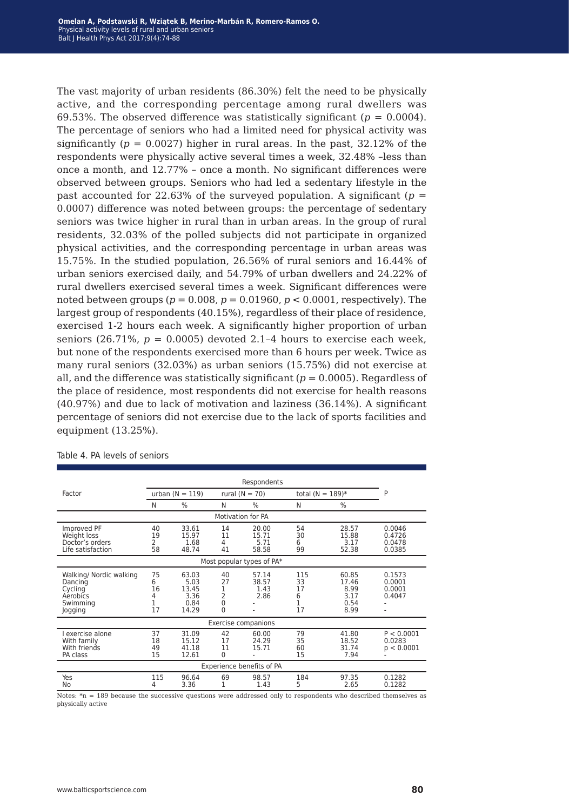The vast majority of urban residents (86.30%) felt the need to be physically active, and the corresponding percentage among rural dwellers was 69.53%. The observed difference was statistically significant ( $p = 0.0004$ ). The percentage of seniors who had a limited need for physical activity was significantly ( $p = 0.0027$ ) higher in rural areas. In the past, 32.12% of the respondents were physically active several times a week, 32.48% –less than once a month, and 12.77% – once a month. No significant differences were observed between groups. Seniors who had led a sedentary lifestyle in the past accounted for 22.63% of the surveyed population. A significant ( $p =$ 0.0007) difference was noted between groups: the percentage of sedentary seniors was twice higher in rural than in urban areas. In the group of rural residents, 32.03% of the polled subjects did not participate in organized physical activities, and the corresponding percentage in urban areas was 15.75%. In the studied population, 26.56% of rural seniors and 16.44% of urban seniors exercised daily, and 54.79% of urban dwellers and 24.22% of rural dwellers exercised several times a week. Significant differences were noted between groups ( $p = 0.008$ ,  $p = 0.01960$ ,  $p < 0.0001$ , respectively). The largest group of respondents (40.15%), regardless of their place of residence, exercised 1-2 hours each week. A significantly higher proportion of urban seniors (26.71%,  $p = 0.0005$ ) devoted 2.1-4 hours to exercise each week, but none of the respondents exercised more than 6 hours per week. Twice as many rural seniors (32.03%) as urban seniors (15.75%) did not exercise at all, and the difference was statistically significant  $(p = 0.0005)$ . Regardless of the place of residence, most respondents did not exercise for health reasons (40.97%) and due to lack of motivation and laziness (36.14%). A significant percentage of seniors did not exercise due to the lack of sports facilities and equipment (13.25%).

|                                                                                  | Respondents              |                                                 |                                                            |                                 |                                 |                                                |                                      |  |
|----------------------------------------------------------------------------------|--------------------------|-------------------------------------------------|------------------------------------------------------------|---------------------------------|---------------------------------|------------------------------------------------|--------------------------------------|--|
| Factor                                                                           | urban $(N = 119)$        |                                                 |                                                            | rural ( $N = 70$ )              |                                 | total ( $N = 189$ )*                           | P                                    |  |
|                                                                                  | N                        | $\frac{0}{0}$                                   | N                                                          | $\frac{0}{0}$                   | N                               | $\frac{0}{0}$                                  |                                      |  |
|                                                                                  |                          |                                                 |                                                            | <b>Motivation for PA</b>        |                                 |                                                |                                      |  |
| Improved PF<br>Weight loss<br>Doctor's orders<br>Life satisfaction               | 40<br>19<br>2<br>58      | 33.61<br>15.97<br>1.68<br>48.74                 | 14<br>11<br>4<br>41                                        | 20.00<br>15.71<br>5.71<br>58.58 | 54<br>30<br>6<br>99             | 28.57<br>15.88<br>3.17<br>52.38                | 0.0046<br>0.4726<br>0.0478<br>0.0385 |  |
| Most popular types of PA*                                                        |                          |                                                 |                                                            |                                 |                                 |                                                |                                      |  |
| Walking/ Nordic walking<br>Dancing<br>Cycling<br>Aerobics<br>Swimming<br>Jogging | 75<br>6<br>16<br>4<br>17 | 63.03<br>5.03<br>13.45<br>3.36<br>0.84<br>14.29 | 40<br>27<br>1<br>$\overline{2}$<br>$\mathbf 0$<br>$\Omega$ | 57.14<br>38.57<br>1.43<br>2.86  | 115<br>33<br>17<br>6<br>1<br>17 | 60.85<br>17.46<br>8.99<br>3.17<br>0.54<br>8.99 | 0.1573<br>0.0001<br>0.0001<br>0.4047 |  |
| Exercise companions                                                              |                          |                                                 |                                                            |                                 |                                 |                                                |                                      |  |
| I exercise alone<br>With family<br>With friends<br>PA class                      | 37<br>18<br>49<br>15     | 31.09<br>15.12<br>41.18<br>12.61                | 42<br>17<br>11<br>0                                        | 60.00<br>24.29<br>15.71         | 79<br>35<br>60<br>15            | 41.80<br>18.52<br>31.74<br>7.94                | P < 0.0001<br>0.0283<br>p < 0.0001   |  |
| Experience benefits of PA                                                        |                          |                                                 |                                                            |                                 |                                 |                                                |                                      |  |
| Yes<br>No                                                                        | 115<br>4                 | 96.64<br>3.36                                   | 69                                                         | 98.57<br>1.43                   | 184<br>5                        | 97.35<br>2.65                                  | 0.1282<br>0.1282                     |  |

Table 4. PA levels of seniors

Notes: \*n = 189 because the successive questions were addressed only to respondents who described themselves as physically active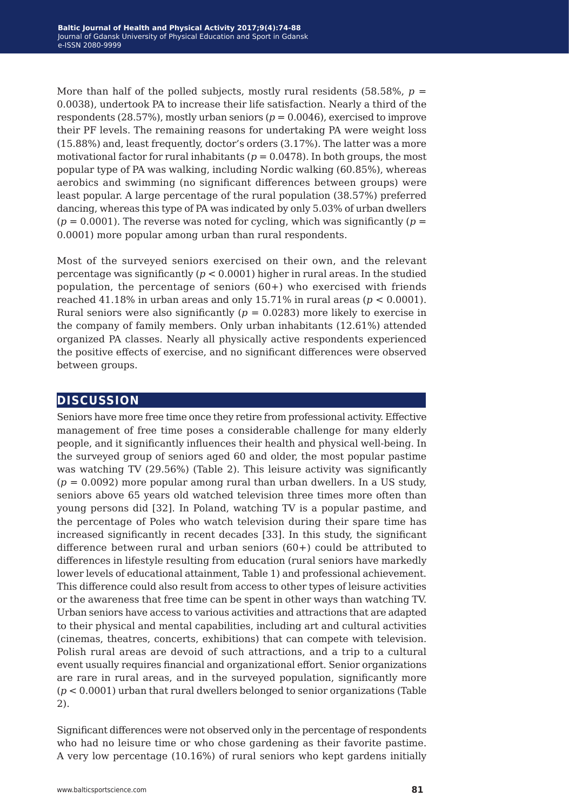More than half of the polled subjects, mostly rural residents  $(58.58\%), p =$ 0.0038), undertook PA to increase their life satisfaction. Nearly a third of the respondents (28.57%), mostly urban seniors  $(p = 0.0046)$ , exercised to improve their PF levels. The remaining reasons for undertaking PA were weight loss (15.88%) and, least frequently, doctor's orders (3.17%). The latter was a more motivational factor for rural inhabitants ( $p = 0.0478$ ). In both groups, the most popular type of PA was walking, including Nordic walking (60.85%), whereas aerobics and swimming (no significant differences between groups) were least popular. A large percentage of the rural population (38.57%) preferred dancing, whereas this type of PA was indicated by only 5.03% of urban dwellers  $(p = 0.0001)$ . The reverse was noted for cycling, which was significantly  $(p = 0.0001)$ . 0.0001) more popular among urban than rural respondents.

Most of the surveyed seniors exercised on their own, and the relevant percentage was significantly (*p* < 0.0001) higher in rural areas. In the studied population, the percentage of seniors  $(60+)$  who exercised with friends reached 41.18% in urban areas and only 15.71% in rural areas ( $p < 0.0001$ ). Rural seniors were also significantly  $(p = 0.0283)$  more likely to exercise in the company of family members. Only urban inhabitants (12.61%) attended organized PA classes. Nearly all physically active respondents experienced the positive effects of exercise, and no significant differences were observed between groups.

### **discussion**

Seniors have more free time once they retire from professional activity. Effective management of free time poses a considerable challenge for many elderly people, and it significantly influences their health and physical well-being. In the surveyed group of seniors aged 60 and older, the most popular pastime was watching TV (29.56%) (Table 2). This leisure activity was significantly (*p* = 0.0092) more popular among rural than urban dwellers. In a US study, seniors above 65 years old watched television three times more often than young persons did [32]. In Poland, watching TV is a popular pastime, and the percentage of Poles who watch television during their spare time has increased significantly in recent decades [33]. In this study, the significant difference between rural and urban seniors (60+) could be attributed to differences in lifestyle resulting from education (rural seniors have markedly lower levels of educational attainment, Table 1) and professional achievement. This difference could also result from access to other types of leisure activities or the awareness that free time can be spent in other ways than watching TV. Urban seniors have access to various activities and attractions that are adapted to their physical and mental capabilities, including art and cultural activities (cinemas, theatres, concerts, exhibitions) that can compete with television. Polish rural areas are devoid of such attractions, and a trip to a cultural event usually requires financial and organizational effort. Senior organizations are rare in rural areas, and in the surveyed population, significantly more (*p* < 0.0001) urban that rural dwellers belonged to senior organizations (Table 2).

Significant differences were not observed only in the percentage of respondents who had no leisure time or who chose gardening as their favorite pastime. A very low percentage (10.16%) of rural seniors who kept gardens initially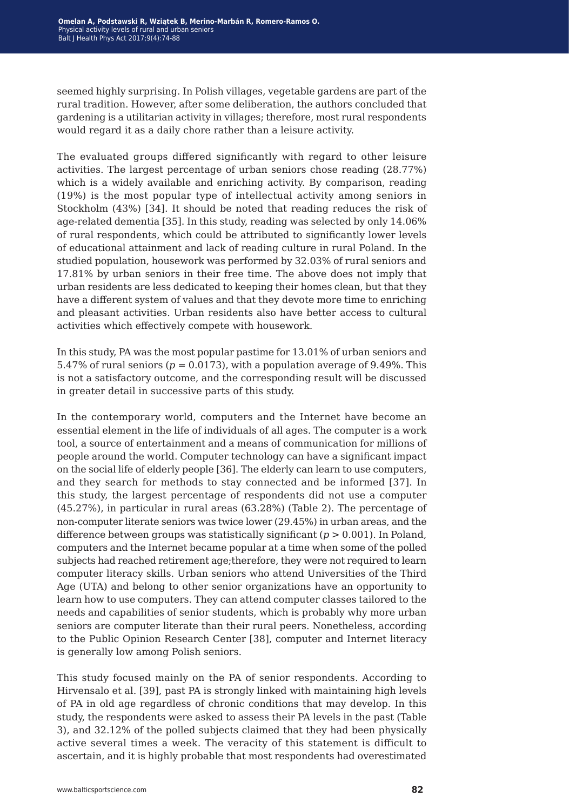seemed highly surprising. In Polish villages, vegetable gardens are part of the rural tradition. However, after some deliberation, the authors concluded that gardening is a utilitarian activity in villages; therefore, most rural respondents would regard it as a daily chore rather than a leisure activity.

The evaluated groups differed significantly with regard to other leisure activities. The largest percentage of urban seniors chose reading (28.77%) which is a widely available and enriching activity. By comparison, reading (19%) is the most popular type of intellectual activity among seniors in Stockholm (43%) [34]. It should be noted that reading reduces the risk of age-related dementia [35]. In this study, reading was selected by only 14.06% of rural respondents, which could be attributed to significantly lower levels of educational attainment and lack of reading culture in rural Poland. In the studied population, housework was performed by 32.03% of rural seniors and 17.81% by urban seniors in their free time. The above does not imply that urban residents are less dedicated to keeping their homes clean, but that they have a different system of values and that they devote more time to enriching and pleasant activities. Urban residents also have better access to cultural activities which effectively compete with housework.

In this study, PA was the most popular pastime for 13.01% of urban seniors and 5.47% of rural seniors ( $p = 0.0173$ ), with a population average of 9.49%. This is not a satisfactory outcome, and the corresponding result will be discussed in greater detail in successive parts of this study.

In the contemporary world, computers and the Internet have become an essential element in the life of individuals of all ages. The computer is a work tool, a source of entertainment and a means of communication for millions of people around the world. Computer technology can have a significant impact on the social life of elderly people [36]. The elderly can learn to use computers, and they search for methods to stay connected and be informed [37]. In this study, the largest percentage of respondents did not use a computer (45.27%), in particular in rural areas (63.28%) (Table 2). The percentage of non-computer literate seniors was twice lower (29.45%) in urban areas, and the difference between groups was statistically significant (*p* > 0.001). In Poland, computers and the Internet became popular at a time when some of the polled subjects had reached retirement age;therefore, they were not required to learn computer literacy skills. Urban seniors who attend Universities of the Third Age (UTA) and belong to other senior organizations have an opportunity to learn how to use computers. They can attend computer classes tailored to the needs and capabilities of senior students, which is probably why more urban seniors are computer literate than their rural peers. Nonetheless, according to the Public Opinion Research Center [38], computer and Internet literacy is generally low among Polish seniors.

This study focused mainly on the PA of senior respondents. According to Hirvensalo et al. [39], past PA is strongly linked with maintaining high levels of PA in old age regardless of chronic conditions that may develop. In this study, the respondents were asked to assess their PA levels in the past (Table 3), and 32.12% of the polled subjects claimed that they had been physically active several times a week. The veracity of this statement is difficult to ascertain, and it is highly probable that most respondents had overestimated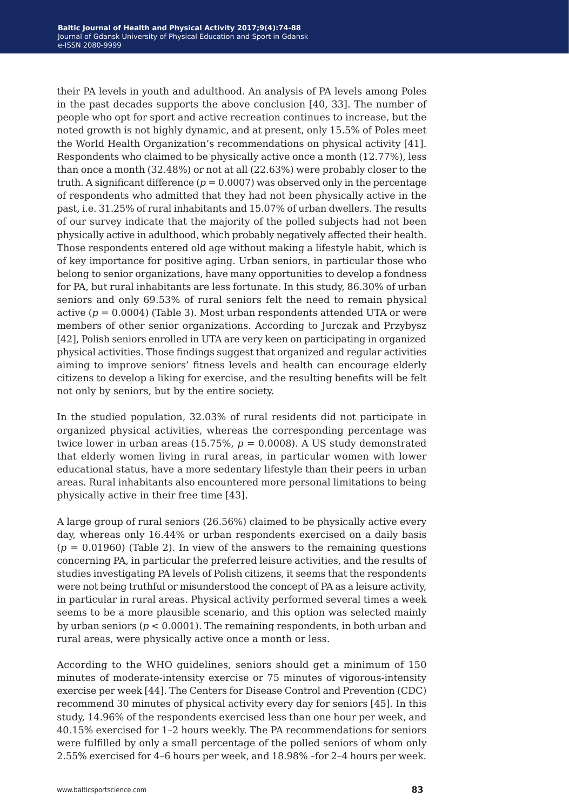their PA levels in youth and adulthood. An analysis of PA levels among Poles in the past decades supports the above conclusion [40, 33]. The number of people who opt for sport and active recreation continues to increase, but the noted growth is not highly dynamic, and at present, only 15.5% of Poles meet the World Health Organization's recommendations on physical activity [41]. Respondents who claimed to be physically active once a month (12.77%), less than once a month (32.48%) or not at all (22.63%) were probably closer to the truth. A significant difference  $(p = 0.0007)$  was observed only in the percentage of respondents who admitted that they had not been physically active in the past, i.e. 31.25% of rural inhabitants and 15.07% of urban dwellers. The results of our survey indicate that the majority of the polled subjects had not been physically active in adulthood, which probably negatively affected their health. Those respondents entered old age without making a lifestyle habit, which is of key importance for positive aging. Urban seniors, in particular those who belong to senior organizations, have many opportunities to develop a fondness for PA, but rural inhabitants are less fortunate. In this study, 86.30% of urban seniors and only 69.53% of rural seniors felt the need to remain physical active  $(p = 0.0004)$  (Table 3). Most urban respondents attended UTA or were members of other senior organizations. According to Jurczak and Przybysz [42], Polish seniors enrolled in UTA are very keen on participating in organized physical activities. Those findings suggest that organized and regular activities aiming to improve seniors' fitness levels and health can encourage elderly citizens to develop a liking for exercise, and the resulting benefits will be felt not only by seniors, but by the entire society.

In the studied population, 32.03% of rural residents did not participate in organized physical activities, whereas the corresponding percentage was twice lower in urban areas (15.75%,  $p = 0.0008$ ). A US study demonstrated that elderly women living in rural areas, in particular women with lower educational status, have a more sedentary lifestyle than their peers in urban areas. Rural inhabitants also encountered more personal limitations to being physically active in their free time [43].

A large group of rural seniors (26.56%) claimed to be physically active every day, whereas only 16.44% or urban respondents exercised on a daily basis  $(p = 0.01960)$  (Table 2). In view of the answers to the remaining questions concerning PA, in particular the preferred leisure activities, and the results of studies investigating PA levels of Polish citizens, it seems that the respondents were not being truthful or misunderstood the concept of PA as a leisure activity, in particular in rural areas. Physical activity performed several times a week seems to be a more plausible scenario, and this option was selected mainly by urban seniors ( $p < 0.0001$ ). The remaining respondents, in both urban and rural areas, were physically active once a month or less.

According to the WHO guidelines, seniors should get a minimum of 150 minutes of moderate-intensity exercise or 75 minutes of vigorous-intensity exercise per week [44]. The Centers for Disease Control and Prevention (CDC) recommend 30 minutes of physical activity every day for seniors [45]. In this study, 14.96% of the respondents exercised less than one hour per week, and 40.15% exercised for 1–2 hours weekly. The PA recommendations for seniors were fulfilled by only a small percentage of the polled seniors of whom only 2.55% exercised for 4–6 hours per week, and 18.98% –for 2–4 hours per week.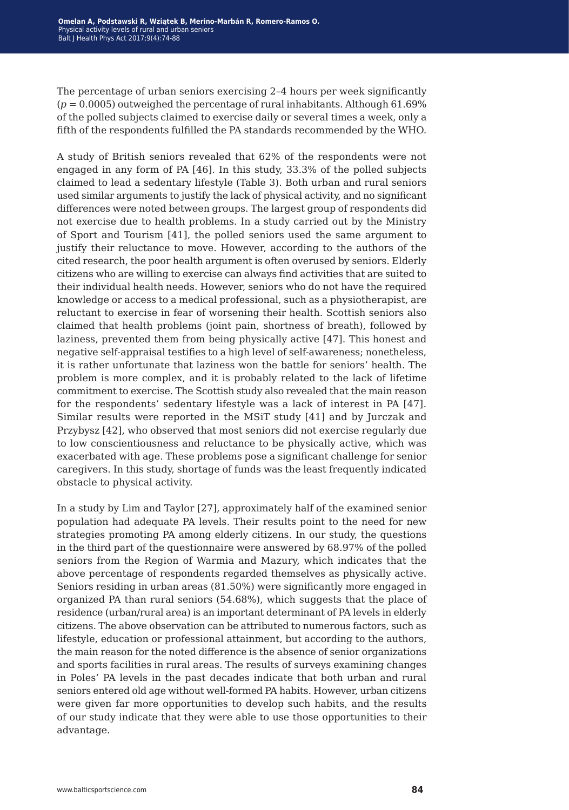The percentage of urban seniors exercising 2–4 hours per week significantly  $(p = 0.0005)$  outweighed the percentage of rural inhabitants. Although  $61.69\%$ of the polled subjects claimed to exercise daily or several times a week, only a fifth of the respondents fulfilled the PA standards recommended by the WHO.

A study of British seniors revealed that 62% of the respondents were not engaged in any form of PA [46]. In this study, 33.3% of the polled subjects claimed to lead a sedentary lifestyle (Table 3). Both urban and rural seniors used similar arguments to justify the lack of physical activity, and no significant differences were noted between groups. The largest group of respondents did not exercise due to health problems. In a study carried out by the Ministry of Sport and Tourism [41], the polled seniors used the same argument to justify their reluctance to move. However, according to the authors of the cited research, the poor health argument is often overused by seniors. Elderly citizens who are willing to exercise can always find activities that are suited to their individual health needs. However, seniors who do not have the required knowledge or access to a medical professional, such as a physiotherapist, are reluctant to exercise in fear of worsening their health. Scottish seniors also claimed that health problems (joint pain, shortness of breath), followed by laziness, prevented them from being physically active [47]. This honest and negative self-appraisal testifies to a high level of self-awareness; nonetheless, it is rather unfortunate that laziness won the battle for seniors' health. The problem is more complex, and it is probably related to the lack of lifetime commitment to exercise. The Scottish study also revealed that the main reason for the respondents' sedentary lifestyle was a lack of interest in PA [47]. Similar results were reported in the MSiT study [41] and by Jurczak and Przybysz [42], who observed that most seniors did not exercise regularly due to low conscientiousness and reluctance to be physically active, which was exacerbated with age. These problems pose a significant challenge for senior caregivers. In this study, shortage of funds was the least frequently indicated obstacle to physical activity.

In a study by Lim and Taylor [27], approximately half of the examined senior population had adequate PA levels. Their results point to the need for new strategies promoting PA among elderly citizens. In our study, the questions in the third part of the questionnaire were answered by 68.97% of the polled seniors from the Region of Warmia and Mazury, which indicates that the above percentage of respondents regarded themselves as physically active. Seniors residing in urban areas (81.50%) were significantly more engaged in organized PA than rural seniors (54.68%), which suggests that the place of residence (urban/rural area) is an important determinant of PA levels in elderly citizens. The above observation can be attributed to numerous factors, such as lifestyle, education or professional attainment, but according to the authors, the main reason for the noted difference is the absence of senior organizations and sports facilities in rural areas. The results of surveys examining changes in Poles' PA levels in the past decades indicate that both urban and rural seniors entered old age without well-formed PA habits. However, urban citizens were given far more opportunities to develop such habits, and the results of our study indicate that they were able to use those opportunities to their advantage.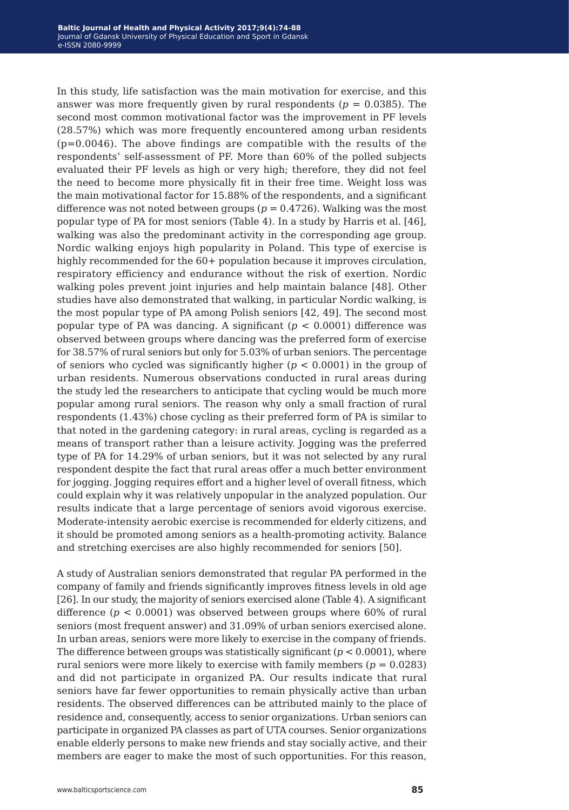In this study, life satisfaction was the main motivation for exercise, and this answer was more frequently given by rural respondents ( $p = 0.0385$ ). The second most common motivational factor was the improvement in PF levels (28.57%) which was more frequently encountered among urban residents  $(p=0.0046)$ . The above findings are compatible with the results of the respondents' self-assessment of PF. More than 60% of the polled subjects evaluated their PF levels as high or very high; therefore, they did not feel the need to become more physically fit in their free time. Weight loss was the main motivational factor for 15.88% of the respondents, and a significant difference was not noted between groups ( $p = 0.4726$ ). Walking was the most popular type of PA for most seniors (Table 4). In a study by Harris et al. [46], walking was also the predominant activity in the corresponding age group. Nordic walking enjoys high popularity in Poland. This type of exercise is highly recommended for the  $60+$  population because it improves circulation, respiratory efficiency and endurance without the risk of exertion. Nordic walking poles prevent joint injuries and help maintain balance [48]. Other studies have also demonstrated that walking, in particular Nordic walking, is the most popular type of PA among Polish seniors [42, 49]. The second most popular type of PA was dancing. A significant (*p* < 0.0001) difference was observed between groups where dancing was the preferred form of exercise for 38.57% of rural seniors but only for 5.03% of urban seniors. The percentage of seniors who cycled was significantly higher (*p* < 0.0001) in the group of urban residents. Numerous observations conducted in rural areas during the study led the researchers to anticipate that cycling would be much more popular among rural seniors. The reason why only a small fraction of rural respondents (1.43%) chose cycling as their preferred form of PA is similar to that noted in the gardening category: in rural areas, cycling is regarded as a means of transport rather than a leisure activity. Jogging was the preferred type of PA for 14.29% of urban seniors, but it was not selected by any rural respondent despite the fact that rural areas offer a much better environment for jogging. Jogging requires effort and a higher level of overall fitness, which could explain why it was relatively unpopular in the analyzed population. Our results indicate that a large percentage of seniors avoid vigorous exercise. Moderate-intensity aerobic exercise is recommended for elderly citizens, and it should be promoted among seniors as a health-promoting activity. Balance and stretching exercises are also highly recommended for seniors [50].

A study of Australian seniors demonstrated that regular PA performed in the company of family and friends significantly improves fitness levels in old age [26]. In our study, the majority of seniors exercised alone (Table 4). A significant difference (*p* < 0.0001) was observed between groups where 60% of rural seniors (most frequent answer) and 31.09% of urban seniors exercised alone. In urban areas, seniors were more likely to exercise in the company of friends. The difference between groups was statistically significant  $(p < 0.0001)$ , where rural seniors were more likely to exercise with family members  $(p = 0.0283)$ and did not participate in organized PA. Our results indicate that rural seniors have far fewer opportunities to remain physically active than urban residents. The observed differences can be attributed mainly to the place of residence and, consequently, access to senior organizations. Urban seniors can participate in organized PA classes as part of UTA courses. Senior organizations enable elderly persons to make new friends and stay socially active, and their members are eager to make the most of such opportunities. For this reason,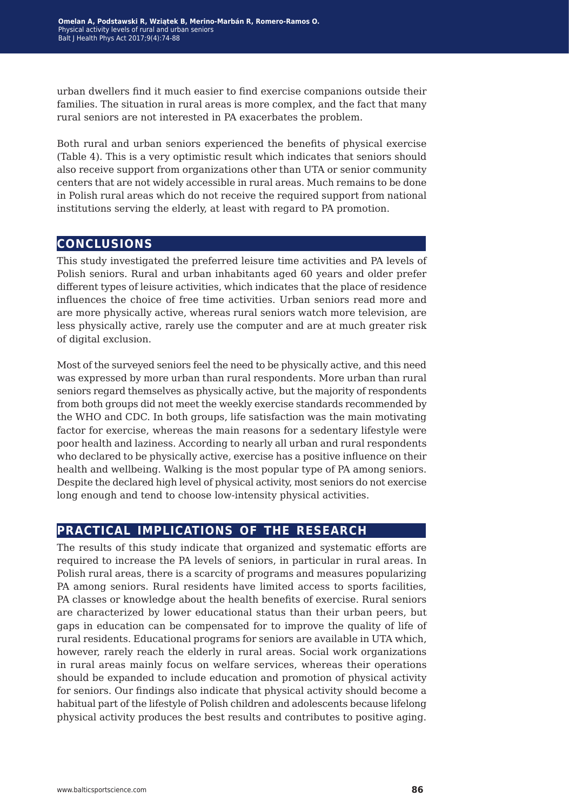urban dwellers find it much easier to find exercise companions outside their families. The situation in rural areas is more complex, and the fact that many rural seniors are not interested in PA exacerbates the problem.

Both rural and urban seniors experienced the benefits of physical exercise (Table 4). This is a very optimistic result which indicates that seniors should also receive support from organizations other than UTA or senior community centers that are not widely accessible in rural areas. Much remains to be done in Polish rural areas which do not receive the required support from national institutions serving the elderly, at least with regard to PA promotion.

## **conclusions**

This study investigated the preferred leisure time activities and PA levels of Polish seniors. Rural and urban inhabitants aged 60 years and older prefer different types of leisure activities, which indicates that the place of residence influences the choice of free time activities. Urban seniors read more and are more physically active, whereas rural seniors watch more television, are less physically active, rarely use the computer and are at much greater risk of digital exclusion.

Most of the surveyed seniors feel the need to be physically active, and this need was expressed by more urban than rural respondents. More urban than rural seniors regard themselves as physically active, but the majority of respondents from both groups did not meet the weekly exercise standards recommended by the WHO and CDC. In both groups, life satisfaction was the main motivating factor for exercise, whereas the main reasons for a sedentary lifestyle were poor health and laziness. According to nearly all urban and rural respondents who declared to be physically active, exercise has a positive influence on their health and wellbeing. Walking is the most popular type of PA among seniors. Despite the declared high level of physical activity, most seniors do not exercise long enough and tend to choose low-intensity physical activities.

## **practical implications of the research**

The results of this study indicate that organized and systematic efforts are required to increase the PA levels of seniors, in particular in rural areas. In Polish rural areas, there is a scarcity of programs and measures popularizing PA among seniors. Rural residents have limited access to sports facilities, PA classes or knowledge about the health benefits of exercise. Rural seniors are characterized by lower educational status than their urban peers, but gaps in education can be compensated for to improve the quality of life of rural residents. Educational programs for seniors are available in UTA which, however, rarely reach the elderly in rural areas. Social work organizations in rural areas mainly focus on welfare services, whereas their operations should be expanded to include education and promotion of physical activity for seniors. Our findings also indicate that physical activity should become a habitual part of the lifestyle of Polish children and adolescents because lifelong physical activity produces the best results and contributes to positive aging.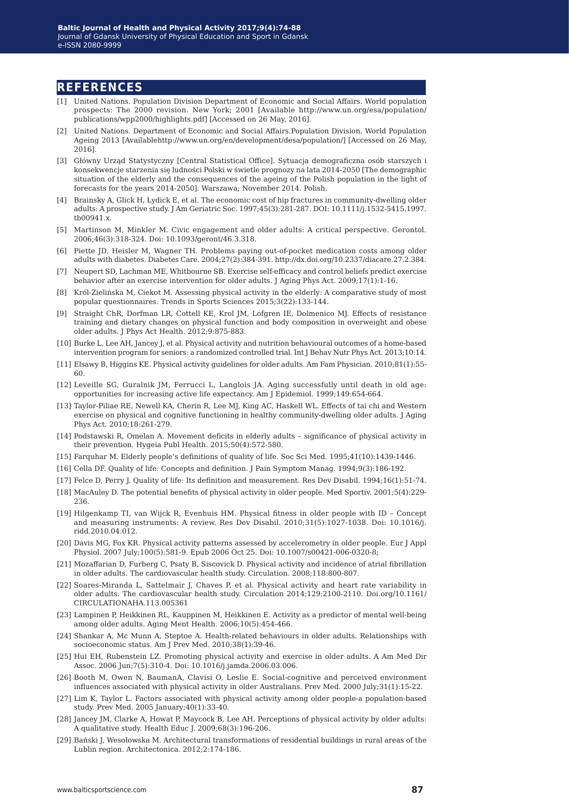#### **references**

- [1] United Nations. Population Division Department of Economic and Social Affairs. World population prospects: The 2000 revision. New York; 2001 [Available http://www.un.org/esa/population/ publications/wpp2000/highlights.pdf] [Accessed on 26 May, 2016].
- [2] United Nations. Department of Economic and Social Affairs.Population Division. World Population Ageing 2013 [Availablehttp://www.un.org/en/development/desa/population/] [Accessed on 26 May, 2016].
- [3] Główny Urząd Statystyczny [Central Statistical Office]. Sytuacja demograficzna osób starszych i konsekwencje starzenia się ludności Polski w świetle prognozy na lata 2014-2050 [The demographic situation of the elderly and the consequences of the ageing of the Polish population in the light of forecasts for the years 2014-2050]. Warszawa; November 2014. Polish.
- [4] Brainsky A, Glick H, Lydick E, et al. The economic cost of hip fractures in community-dwelling older adults: A prospective study. J Am Geriatric Soc. 1997;45(3):281-287. DOI: 10.1111/j.1532-5415.1997. tb00941.x.
- [5] Martinson M, Minkler M. Civic engagement and older adults: A critical perspective. Gerontol. 2006;46(3):318-324. Doi: 10.1093/geront/46.3.318.
- [6] Piette JD, Heisler M, Wagner TH. Problems paying out-of-pocket medication costs among older adults with diabetes. Diabetes Care. 2004;27(2):384-391. http://dx.doi.org/10.2337/diacare.27.2.384.
- [7] Neupert SD, Lachman ME, Whitbourne SB. Exercise self-efficacy and control beliefs predict exercise behavior after an exercise intervention for older adults. J Aging Phys Act. 2009;17(1):1-16.
- [8] Król-Zielińska M, Ciekot M. Assessing physical activity in the elderly: A comparative study of most popular questionnaires. Trends in Sports Sciences 2015;3(22):133-144.
- [9] Straight ChR, Dorfman LR, Cottell KE, Krol JM, Lofgren IE, Dolmenico MJ. Effects of resistance training and dietary changes on physical function and body composition in overweight and obese older adults. J Phys Act Health. 2012;9:875-883.
- [10] Burke L, Lee AH, Jancey J, et al. Physical activity and nutrition behavioural outcomes of a home-based intervention program for seniors: a randomized controlled trial. Int J Behav Nutr Phys Act. 2013;10:14.
- [11] Elsawy B, Higgins KE. Physical activity guidelines for older adults. Am Fam Physician. 2010;81(1):55- 60.
- [12] Leveille SG, Guralnik JM, Ferrucci L, Langlois JA. Aging successfully until death in old age: opportunities for increasing active life expectancy. Am J Epidemiol. 1999;149:654-664.
- [13] Taylor-Piliae RE, Newell KA, Cherin R, Lee MJ, King AC, Haskell WL. Effects of tai chi and Western exercise on physical and cognitive functioning in healthy community-dwelling older adults. J Aging Phys Act. 2010;18:261-279.
- [14] Podstawski R, Omelan A. Movement deficits in elderly adults significance of physical activity in their prevention. Hygeia Publ Health. 2015;50(4):572-580.
- [15] Farquhar M. Elderly people's definitions of quality of life. Soc Sci Med. 1995;41(10):1439-1446.
- [16] Cella DF. Quality of life: Concepts and definition. J Pain Symptom Manag. 1994;9(3):186-192.
- [17] Felce D, Perry J. Quality of life: Its definition and measurement. Res Dev Disabil. 1994;16(1):51-74.
- [18] MacAuley D. The potential benefits of physical activity in older people. Med Sportiv. 2001;5(4):229- 236.
- [19] Hilgenkamp TI, van Wijck R, Evenhuis HM. Physical fitness in older people with ID Concept and measuring instruments: A review. Res Dev Disabil. 2010;31(5):1027-1038. Doi: 10.1016/j. ridd.2010.04.012.
- [20] Davis MG, Fox KR. Physical activity patterns assessed by accelerometry in older people. Eur J Appl Physiol. 2007 July;100(5):581-9. Epub 2006 Oct 25. Doi: 10.1007/s00421-006-0320-8;
- [21] Mozaffarian D, Furberg C, Psaty B, Siscovick D. Physical activity and incidence of atrial fibrillation in older adults. The cardiovascular health study. Circulation. 2008;118:800-807.
- [22] Soares-Miranda L, Sattelmair J, Chaves P, et al. Physical activity and heart rate variability in older adults. The cardiovascular health study. Circulation 2014;129:2100-2110. Doi.org/10.1161/ CIRCULATIONAHA.113.005361
- [23] Lampinen P, Heikkinen RL, Kauppinen M, Heikkinen E. Activity as a predictor of mental well-being among older adults. Aging Ment Health. 2006;10(5):454-466.
- [24] Shankar A, Mc Munn A, Steptoe A. Health-related behaviours in older adults. Relationships with socioeconomic status. Am J Prev Med. 2010;38(1):39-46.
- [25] Hui EH, Rubenstein LZ. Promoting physical activity and exercise in older adults. A Am Med Dir Assoc. 2006 Jun;7(5):310-4. Doi: 10.1016/j.jamda.2006.03.006.
- [26] Booth M, Owen N, BaumanA, Clavisi O, Leslie E. Social-cognitive and perceived environment influences associated with physical activity in older Australians. Prev Med. 2000 July;31(1):15-22.
- [27] Lim K, Taylor L. Factors associated with physical activity among older people-a population-based study. Prev Med. 2005 January;40(1):33-40.
- [28] Jancey JM, Clarke A, Howat P, Maycock B, Lee AH. Perceptions of physical activity by older adults: A qualitative study. Health Educ J. 2009;68(3):196-206.
- [29] Bański J, Wesołowska M. Architectural transformations of residential buildings in rural areas of the Lublin region. Architectonica. 2012;2:174-186.